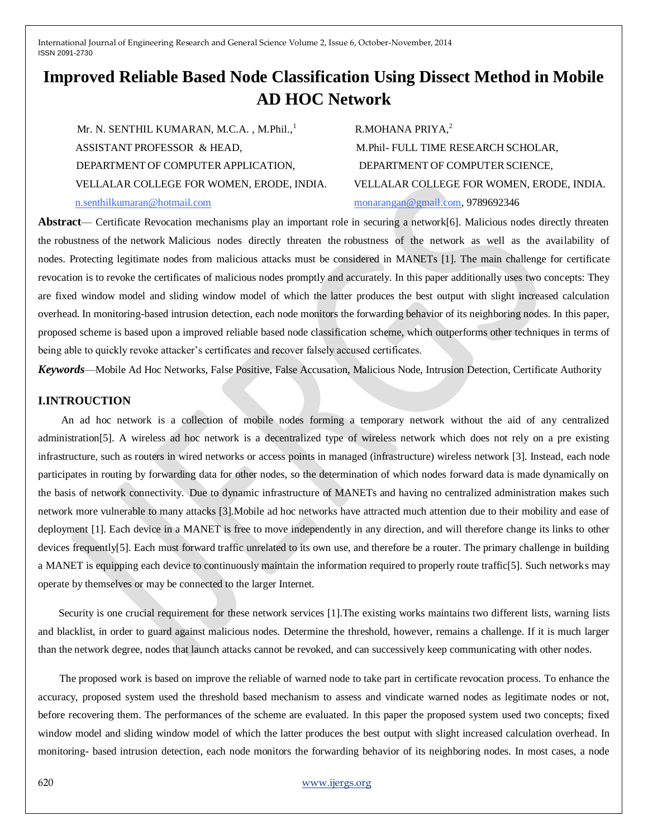# **Improved Reliable Based Node Classification Using Dissect Method in Mobile AD HOC Network**

Mr. N. SENTHIL KUMARAN, M.C.A., M.Phil..<sup>1</sup> ASSISTANT PROFESSOR & HEAD, M.Phil- FULL TIME RESEARCH SCHOLAR, DEPARTMENT OF COMPUTER APPLICATION. DEPARTMENT OF COMPUTER SCIENCE, VELLALAR COLLEGE FOR WOMEN, ERODE, INDIA. VELLALAR COLLEGE FOR WOMEN, ERODE, INDIA. n.senthilkumaran@hotmail.com monarangan@gmail.com, 9789692346

R.MOHANA PRIYA,<sup>2</sup>

**Abstract**— Certificate Revocation mechanisms play an important role in securing a network[6]. Malicious nodes directly threaten the robustness of the network Malicious nodes directly threaten the robustness of the network as well as the availability of nodes. Protecting legitimate nodes from malicious attacks must be considered in MANETs [1]. The main challenge for certificate revocation is to revoke the certificates of malicious nodes promptly and accurately. In this paper additionally uses two concepts: They are fixed window model and sliding window model of which the latter produces the best output with slight increased calculation overhead. In monitoring-based intrusion detection, each node monitors the forwarding behavior of its neighboring nodes. In this paper, proposed scheme is based upon a improved reliable based node classification scheme, which outperforms other techniques in terms of being able to quickly revoke attacker's certificates and recover falsely accused certificates.

*Keywords*—Mobile Ad Hoc Networks, False Positive, False Accusation, Malicious Node, Intrusion Detection, Certificate Authority

## **I.INTROUCTION**

 An ad hoc network is a collection of mobile nodes forming a temporary network without the aid of any centralized administration[5]. A wireless ad hoc network is a decentralized type of wireless network which does not rely on a pre existing infrastructure, such as routers in wired networks or access points in managed (infrastructure) wireless network [3]. Instead, each node participates in routing by forwarding data for other nodes, so the determination of which nodes forward data is made dynamically on the basis of network connectivity. Due to dynamic infrastructure of MANETs and having no centralized administration makes such network more vulnerable to many attacks [3].Mobile ad hoc networks have attracted much attention due to their mobility and ease of deployment [1]. Each device in a MANET is free to move independently in any direction, and will therefore change its links to other devices frequently[5]. Each must forward traffic unrelated to its own use, and therefore be a router. The primary challenge in building a MANET is equipping each device to continuously maintain the information required to properly route traffic[5]. Such networks may operate by themselves or may be connected to the larger Internet.

 Security is one crucial requirement for these network services [1].The existing works maintains two different lists, warning lists and blacklist, in order to guard against malicious nodes. Determine the threshold, however, remains a challenge. If it is much larger than the network degree, nodes that launch attacks cannot be revoked, and can successively keep communicating with other nodes.

 The proposed work is based on improve the reliable of warned node to take part in certificate revocation process. To enhance the accuracy, proposed system used the threshold based mechanism to assess and vindicate warned nodes as legitimate nodes or not, before recovering them. The performances of the scheme are evaluated. In this paper the proposed system used two concepts; fixed window model and sliding window model of which the latter produces the best output with slight increased calculation overhead. In monitoring- based intrusion detection, each node monitors the forwarding behavior of its neighboring nodes. In most cases, a node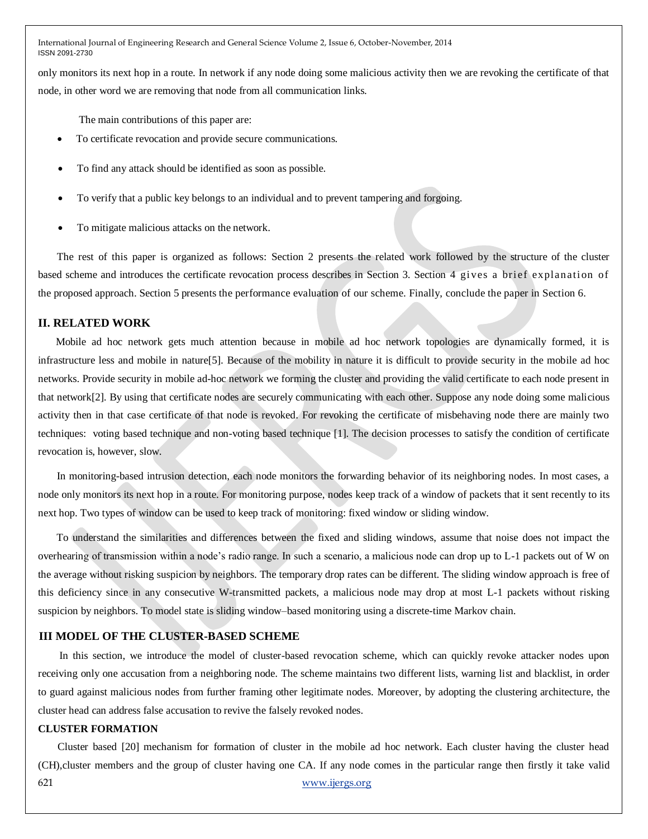only monitors its next hop in a route. In network if any node doing some malicious activity then we are revoking the certificate of that node, in other word we are removing that node from all communication links.

The main contributions of this paper are:

- To certificate revocation and provide secure communications.
- To find any attack should be identified as soon as possible.
- To verify that a public key belongs to an individual and to prevent tampering and forgoing.
- To mitigate malicious attacks on the network.

 The rest of this paper is organized as follows: Section 2 presents the related work followed by the structure of the cluster based scheme and introduces the certificate revocation process describes in Section 3. Section 4 gives a brief explanation of the proposed approach. Section 5 presents the performance evaluation of our scheme. Finally, conclude the paper in Section 6.

## **II. RELATED WORK**

 Mobile ad hoc network gets much attention because in mobile ad hoc network topologies are dynamically formed, it is infrastructure less and mobile in nature[5]. Because of the mobility in nature it is difficult to provide security in the mobile ad hoc networks. Provide security in mobile ad-hoc network we forming the cluster and providing the valid certificate to each node present in that network[2]. By using that certificate nodes are securely communicating with each other. Suppose any node doing some malicious activity then in that case certificate of that node is revoked. For revoking the certificate of misbehaving node there are mainly two techniques: voting based technique and non-voting based technique [1]. The decision processes to satisfy the condition of certificate revocation is, however, slow.

 In monitoring-based intrusion detection, each node monitors the forwarding behavior of its neighboring nodes. In most cases, a node only monitors its next hop in a route. For monitoring purpose, nodes keep track of a window of packets that it sent recently to its next hop. Two types of window can be used to keep track of monitoring: fixed window or sliding window.

 To understand the similarities and differences between the fixed and sliding windows, assume that noise does not impact the overhearing of transmission within a node's radio range. In such a scenario, a malicious node can drop up to L-1 packets out of W on the average without risking suspicion by neighbors. The temporary drop rates can be different. The sliding window approach is free of this deficiency since in any consecutive W-transmitted packets, a malicious node may drop at most L-1 packets without risking suspicion by neighbors. To model state is sliding window–based monitoring using a discrete-time Markov chain.

### **III MODEL OF THE CLUSTER-BASED SCHEME**

In this section, we introduce the model of cluster-based revocation scheme, which can quickly revoke attacker nodes upon receiving only one accusation from a neighboring node. The scheme maintains two different lists, warning list and blacklist, in order to guard against malicious nodes from further framing other legitimate nodes. Moreover, by adopting the clustering architecture, the cluster head can address false accusation to revive the falsely revoked nodes.

#### **CLUSTER FORMATION**

621 www.ijergs.org Cluster based [20] mechanism for formation of cluster in the mobile ad hoc network. Each cluster having the cluster head (CH),cluster members and the group of cluster having one CA. If any node comes in the particular range then firstly it take valid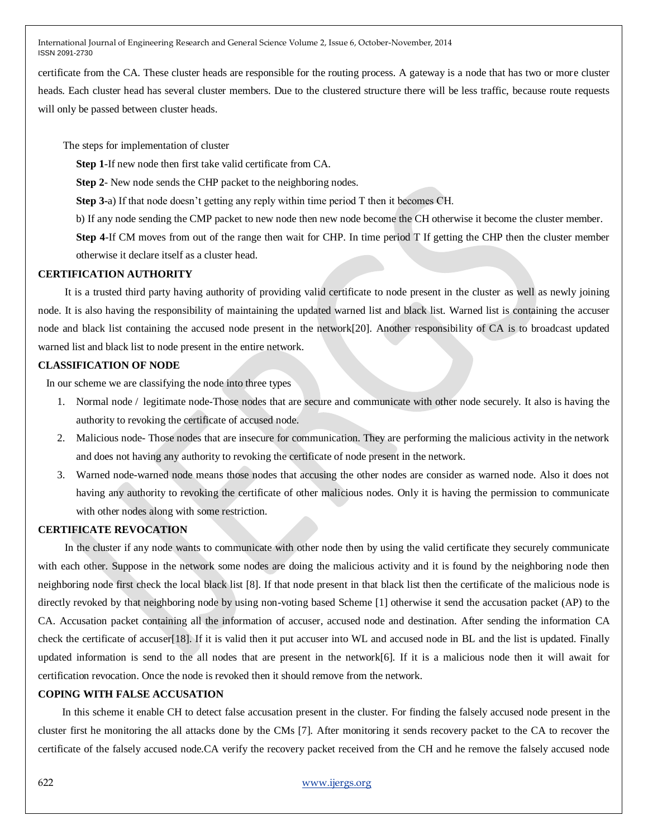certificate from the CA. These cluster heads are responsible for the routing process. A gateway is a node that has two or more cluster heads. Each cluster head has several cluster members. Due to the clustered structure there will be less traffic, because route requests will only be passed between cluster heads.

The steps for implementation of cluster

**Step 1**-If new node then first take valid certificate from CA.

**Step 2**- New node sends the CHP packet to the neighboring nodes.

**Step 3-**a) If that node doesn't getting any reply within time period T then it becomes CH.

b) If any node sending the CMP packet to new node then new node become the CH otherwise it become the cluster member.

**Step 4**-If CM moves from out of the range then wait for CHP. In time period T If getting the CHP then the cluster member otherwise it declare itself as a cluster head.

## **CERTIFICATION AUTHORITY**

 It is a trusted third party having authority of providing valid certificate to node present in the cluster as well as newly joining node. It is also having the responsibility of maintaining the updated warned list and black list. Warned list is containing the accuser node and black list containing the accused node present in the network[20]. Another responsibility of CA is to broadcast updated warned list and black list to node present in the entire network.

## **CLASSIFICATION OF NODE**

In our scheme we are classifying the node into three types

- 1. Normal node / legitimate node-Those nodes that are secure and communicate with other node securely. It also is having the authority to revoking the certificate of accused node.
- 2. Malicious node- Those nodes that are insecure for communication. They are performing the malicious activity in the network and does not having any authority to revoking the certificate of node present in the network.
- 3. Warned node-warned node means those nodes that accusing the other nodes are consider as warned node. Also it does not having any authority to revoking the certificate of other malicious nodes. Only it is having the permission to communicate with other nodes along with some restriction.

## **CERTIFICATE REVOCATION**

 In the cluster if any node wants to communicate with other node then by using the valid certificate they securely communicate with each other. Suppose in the network some nodes are doing the malicious activity and it is found by the neighboring node then neighboring node first check the local black list [8]. If that node present in that black list then the certificate of the malicious node is directly revoked by that neighboring node by using non-voting based Scheme [1] otherwise it send the accusation packet (AP) to the CA. Accusation packet containing all the information of accuser, accused node and destination. After sending the information CA check the certificate of accuser[18]. If it is valid then it put accuser into WL and accused node in BL and the list is updated. Finally updated information is send to the all nodes that are present in the network[6]. If it is a malicious node then it will await for certification revocation. Once the node is revoked then it should remove from the network.

## **COPING WITH FALSE ACCUSATION**

 In this scheme it enable CH to detect false accusation present in the cluster. For finding the falsely accused node present in the cluster first he monitoring the all attacks done by the CMs [7]. After monitoring it sends recovery packet to the CA to recover the certificate of the falsely accused node.CA verify the recovery packet received from the CH and he remove the falsely accused node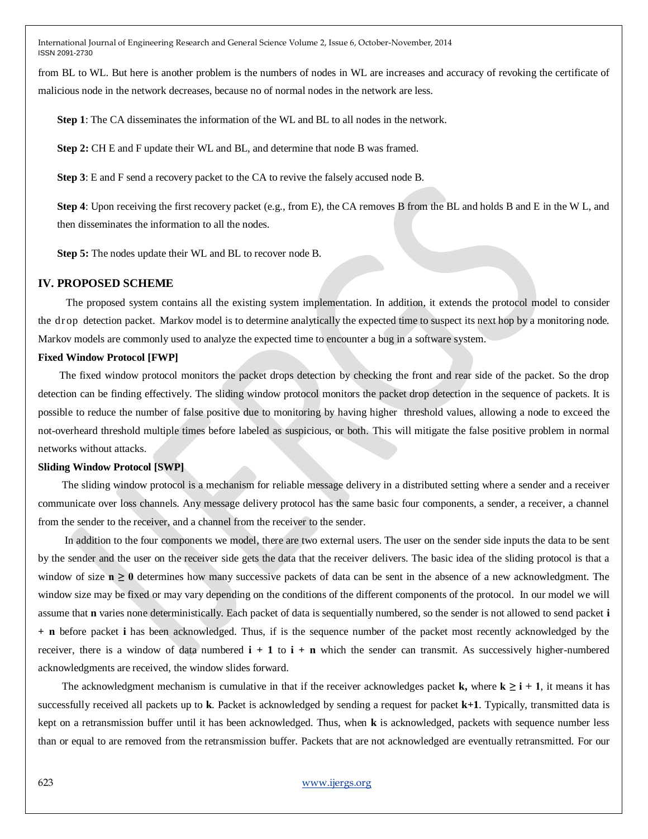from BL to WL. But here is another problem is the numbers of nodes in WL are increases and accuracy of revoking the certificate of malicious node in the network decreases, because no of normal nodes in the network are less.

**Step 1**: The CA disseminates the information of the WL and BL to all nodes in the network.

**Step 2:** CH E and F update their WL and BL, and determine that node B was framed.

**Step 3**: E and F send a recovery packet to the CA to revive the falsely accused node B.

**Step 4**: Upon receiving the first recovery packet (e.g., from E), the CA removes B from the BL and holds B and E in the W L, and then disseminates the information to all the nodes.

**Step 5:** The nodes update their WL and BL to recover node B.

### **IV. PROPOSED SCHEME**

 The proposed system contains all the existing system implementation. In addition, it extends the protocol model to consider the dr op detection packet. Markov model is to determine analytically the expected time to suspect its next hop by a monitoring node. Markov models are commonly used to analyze the expected time to encounter a bug in a software system.

#### **Fixed Window Protocol [FWP]**

 The fixed window protocol monitors the packet drops detection by checking the front and rear side of the packet. So the drop detection can be finding effectively. The sliding window protocol monitors the packet drop detection in the sequence of packets. It is possible to reduce the number of false positive due to monitoring by having higher threshold values, allowing a node to exceed the not-overheard threshold multiple times before labeled as suspicious, or both. This will mitigate the false positive problem in normal networks without attacks.

### **Sliding Window Protocol [SWP]**

 The sliding window protocol is a mechanism for reliable message delivery in a distributed setting where a sender and a receiver communicate over loss channels. Any message delivery protocol has the same basic four components, a sender, a receiver, a channel from the sender to the receiver, and a channel from the receiver to the sender.

 In addition to the four components we model, there are two external users. The user on the sender side inputs the data to be sent by the sender and the user on the receiver side gets the data that the receiver delivers. The basic idea of the sliding protocol is that a window of size  $n \ge 0$  determines how many successive packets of data can be sent in the absence of a new acknowledgment. The window size may be fixed or may vary depending on the conditions of the different components of the protocol. In our model we will assume that **n** varies none deterministically. Each packet of data is sequentially numbered, so the sender is not allowed to send packet **i + n** before packet **i** has been acknowledged. Thus, if is the sequence number of the packet most recently acknowledged by the receiver, there is a window of data numbered  $\mathbf{i} + \mathbf{1}$  to  $\mathbf{i} + \mathbf{n}$  which the sender can transmit. As successively higher-numbered acknowledgments are received, the window slides forward.

The acknowledgment mechanism is cumulative in that if the receiver acknowledges packet **k**, where  $k \ge i + 1$ , it means it has successfully received all packets up to **k**. Packet is acknowledged by sending a request for packet **k+1**. Typically, transmitted data is kept on a retransmission buffer until it has been acknowledged. Thus, when **k** is acknowledged, packets with sequence number less than or equal to are removed from the retransmission buffer. Packets that are not acknowledged are eventually retransmitted. For our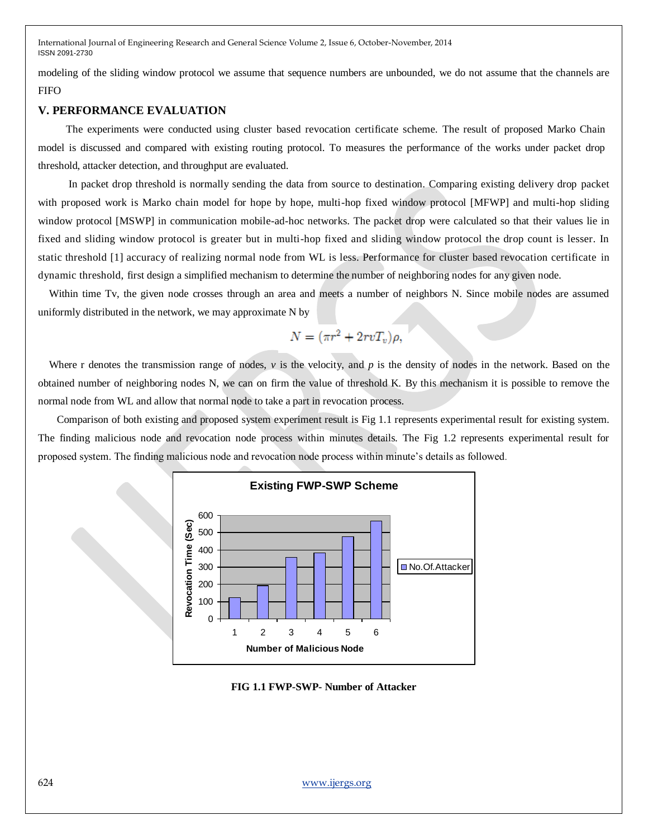modeling of the sliding window protocol we assume that sequence numbers are unbounded, we do not assume that the channels are FIFO

## **V. PERFORMANCE EVALUATION**

 The experiments were conducted using cluster based revocation certificate scheme. The result of proposed Marko Chain model is discussed and compared with existing routing protocol. To measures the performance of the works under packet drop threshold, attacker detection, and throughput are evaluated.

 In packet drop threshold is normally sending the data from source to destination. Comparing existing delivery drop packet with proposed work is Marko chain model for hope by hope, multi-hop fixed window protocol [MFWP] and multi-hop sliding window protocol [MSWP] in communication mobile-ad-hoc networks. The packet drop were calculated so that their values lie in fixed and sliding window protocol is greater but in multi-hop fixed and sliding window protocol the drop count is lesser. In static threshold [1] accuracy of realizing normal node from WL is less. Performance for cluster based revocation certificate in dynamic threshold, first design a simplified mechanism to determine the number of neighboring nodes for any given node.

 Within time Tv, the given node crosses through an area and meets a number of neighbors N. Since mobile nodes are assumed uniformly distributed in the network, we may approximate N by

$$
N = (\pi r^2 + 2rvT_v)\rho,
$$

Where r denotes the transmission range of nodes, *v* is the velocity, and *p* is the density of nodes in the network. Based on the obtained number of neighboring nodes N, we can on firm the value of threshold K. By this mechanism it is possible to remove the normal node from WL and allow that normal node to take a part in revocation process.

 Comparison of both existing and proposed system experiment result is Fig 1.1 represents experimental result for existing system. The finding malicious node and revocation node process within minutes details. The Fig 1.2 represents experimental result for proposed system. The finding malicious node and revocation node process within minute's details as followed.



**FIG 1.1 FWP-SWP- Number of Attacker**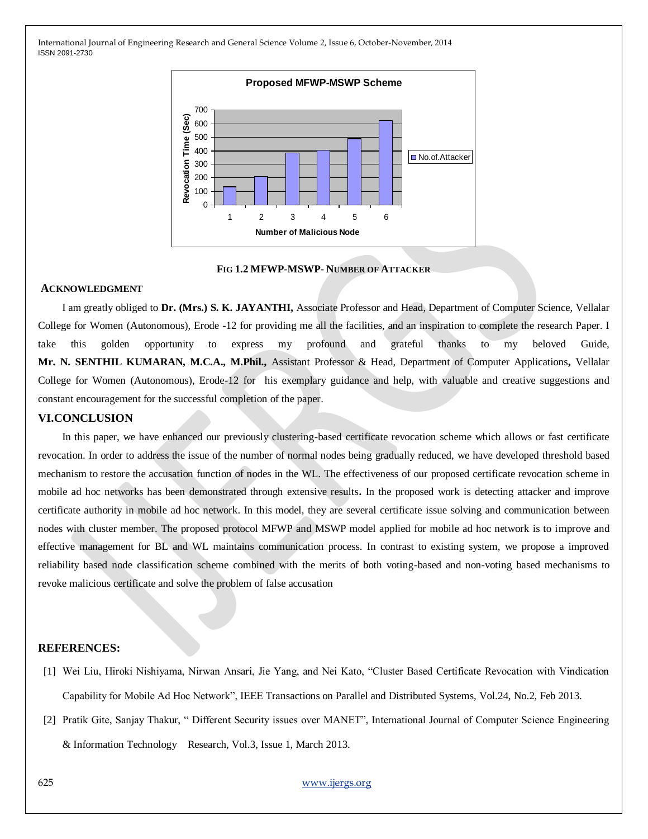

**FIG 1.2 MFWP-MSWP- NUMBER OF ATTACKER**

#### **ACKNOWLEDGMENT**

 I am greatly obliged to **Dr. (Mrs.) S. K. JAYANTHI,** Associate Professor and Head, Department of Computer Science, Vellalar College for Women (Autonomous), Erode -12 for providing me all the facilities, and an inspiration to complete the research Paper. I take this golden opportunity to express my profound and grateful thanks to my beloved Guide, **Mr. N. SENTHIL KUMARAN, M.C.A., M.Phil.,** Assistant Professor & Head, Department of Computer Applications**,** Vellalar College for Women (Autonomous), Erode-12 for his exemplary guidance and help, with valuable and creative suggestions and constant encouragement for the successful completion of the paper.

#### **VI.CONCLUSION**

 In this paper, we have enhanced our previously clustering-based certificate revocation scheme which allows or fast certificate revocation. In order to address the issue of the number of normal nodes being gradually reduced, we have developed threshold based mechanism to restore the accusation function of nodes in the WL. The effectiveness of our proposed certificate revocation scheme in mobile ad hoc networks has been demonstrated through extensive results**.** In the proposed work is detecting attacker and improve certificate authority in mobile ad hoc network. In this model, they are several certificate issue solving and communication between nodes with cluster member. The proposed protocol MFWP and MSWP model applied for mobile ad hoc network is to improve and effective management for BL and WL maintains communication process. In contrast to existing system, we propose a improved reliability based node classification scheme combined with the merits of both voting-based and non-voting based mechanisms to revoke malicious certificate and solve the problem of false accusation

#### **REFERENCES:**

- [1] Wei Liu, Hiroki Nishiyama, Nirwan Ansari, Jie Yang, and Nei Kato, "Cluster Based Certificate Revocation with Vindication Capability for Mobile Ad Hoc Network", IEEE Transactions on Parallel and Distributed Systems, Vol.24, No.2, Feb 2013.
- [2] Pratik Gite, Sanjay Thakur, "Different Security issues over MANET", International Journal of Computer Science Engineering & Information Technology Research, Vol.3, Issue 1, March 2013.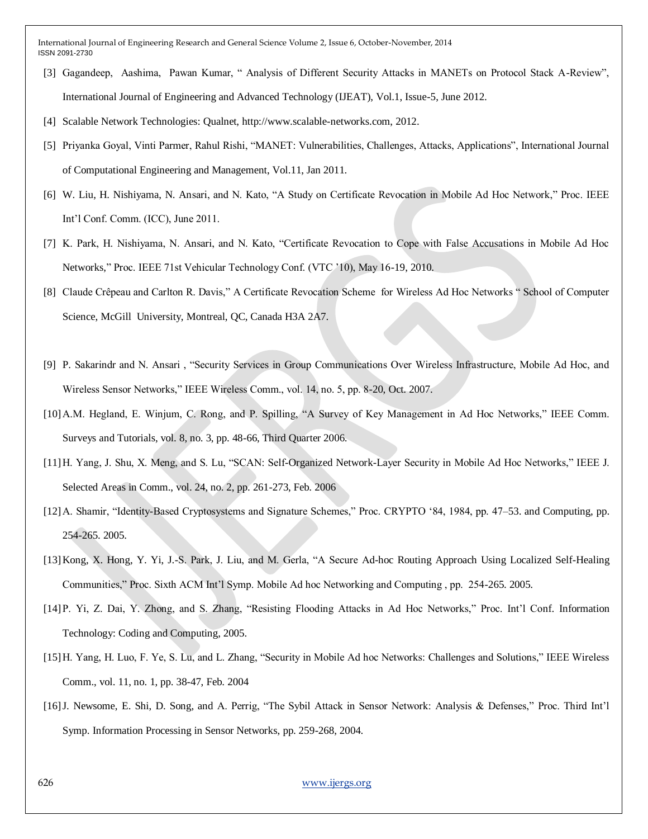- [3] Gagandeep, Aashima, Pawan Kumar, "Analysis of Different Security Attacks in MANETs on Protocol Stack A-Review", International Journal of Engineering and Advanced Technology (IJEAT), Vol.1, Issue-5, June 2012.
- [4] Scalable Network Technologies: Qualnet, http://www.scalable-networks.com, 2012.
- [5] Priyanka Goyal, Vinti Parmer, Rahul Rishi, "MANET: Vulnerabilities, Challenges, Attacks, Applications", International Journal of Computational Engineering and Management, Vol.11, Jan 2011.
- [6] W. Liu, H. Nishiyama, N. Ansari, and N. Kato, "A Study on Certificate Revocation in Mobile Ad Hoc Network," Proc. IEEE Int'l Conf. Comm. (ICC), June 2011.
- [7] K. Park, H. Nishiyama, N. Ansari, and N. Kato, "Certificate Revocation to Cope with False Accusations in Mobile Ad Hoc Networks," Proc. IEEE 71st Vehicular Technology Conf. (VTC '10), May 16-19, 2010.
- [8] Claude Crêpeau and Carlton R. Davis," A Certificate Revocation Scheme for Wireless Ad Hoc Networks " School of Computer Science, McGill University, Montreal, QC, Canada H3A 2A7.
- [9] P. Sakarindr and N. Ansari, "Security Services in Group Communications Over Wireless Infrastructure, Mobile Ad Hoc, and Wireless Sensor Networks," IEEE Wireless Comm., vol. 14, no. 5, pp. 8-20, Oct. 2007.
- [10]A.M. Hegland, E. Winjum, C. Rong, and P. Spilling, "A Survey of Key Management in Ad Hoc Networks," IEEE Comm. Surveys and Tutorials, vol. 8, no. 3, pp. 48-66, Third Quarter 2006.
- [11]H. Yang, J. Shu, X. Meng, and S. Lu, "SCAN: Self-Organized Network-Layer Security in Mobile Ad Hoc Networks," IEEE J. Selected Areas in Comm., vol. 24, no. 2, pp. 261-273, Feb. 2006
- [12] A. Shamir, "Identity-Based Cryptosystems and Signature Schemes," Proc. CRYPTO '84, 1984, pp. 47–53. and Computing, pp. 254-265. 2005.
- [13] Kong, X. Hong, Y. Yi, J.-S. Park, J. Liu, and M. Gerla, "A Secure Ad-hoc Routing Approach Using Localized Self-Healing Communities," Proc. Sixth ACM Int'l Symp. Mobile Ad hoc Networking and Computing, pp. 254-265. 2005.
- [14]P. Yi, Z. Dai, Y. Zhong, and S. Zhang, "Resisting Flooding Attacks in Ad Hoc Networks," Proc. Int'l Conf. Information Technology: Coding and Computing, 2005.
- [15] H. Yang, H. Luo, F. Ye, S. Lu, and L. Zhang, "Security in Mobile Ad hoc Networks: Challenges and Solutions," IEEE Wireless Comm., vol. 11, no. 1, pp. 38-47, Feb. 2004
- [16]J. Newsome, E. Shi, D. Song, and A. Perrig, "The Sybil Attack in Sensor Network: Analysis & Defenses," Proc. Third Int'l Symp. Information Processing in Sensor Networks, pp. 259-268, 2004.